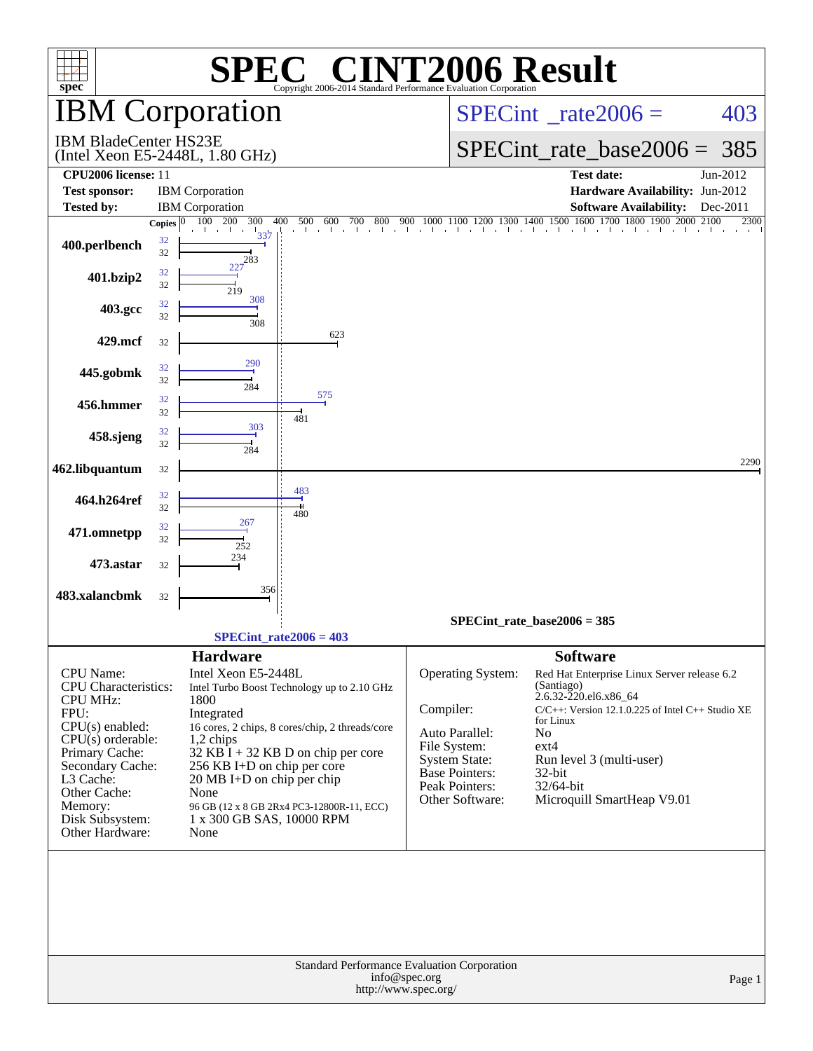| <b>INT2006 Result</b><br>$\mathbf{P}(\mathbf{R})$<br>$spec^*$<br>Copyright 2006-2014 Standard Performance Evaluation Corporation                                                                     |                                                                                                                                                                                                                                                                                                                                                   |                                                                                                                                                                                                                                                                                                                                                                                                                                                                 |  |  |  |  |  |  |  |  |  |
|------------------------------------------------------------------------------------------------------------------------------------------------------------------------------------------------------|---------------------------------------------------------------------------------------------------------------------------------------------------------------------------------------------------------------------------------------------------------------------------------------------------------------------------------------------------|-----------------------------------------------------------------------------------------------------------------------------------------------------------------------------------------------------------------------------------------------------------------------------------------------------------------------------------------------------------------------------------------------------------------------------------------------------------------|--|--|--|--|--|--|--|--|--|
| <b>IBM</b> Corporation                                                                                                                                                                               |                                                                                                                                                                                                                                                                                                                                                   | $SPECint^{\circ}$ rate $2006 =$<br>403                                                                                                                                                                                                                                                                                                                                                                                                                          |  |  |  |  |  |  |  |  |  |
| <b>IBM BladeCenter HS23E</b><br>(Intel Xeon E5-2448L, 1.80 GHz)                                                                                                                                      |                                                                                                                                                                                                                                                                                                                                                   | $SPECint_rate_base2006 =$<br>385                                                                                                                                                                                                                                                                                                                                                                                                                                |  |  |  |  |  |  |  |  |  |
| CPU2006 license: 11                                                                                                                                                                                  |                                                                                                                                                                                                                                                                                                                                                   | <b>Test date:</b><br>Jun-2012                                                                                                                                                                                                                                                                                                                                                                                                                                   |  |  |  |  |  |  |  |  |  |
| <b>Test sponsor:</b>                                                                                                                                                                                 | <b>IBM</b> Corporation                                                                                                                                                                                                                                                                                                                            | Hardware Availability: Jun-2012                                                                                                                                                                                                                                                                                                                                                                                                                                 |  |  |  |  |  |  |  |  |  |
| <b>Tested by:</b>                                                                                                                                                                                    | <b>IBM</b> Corporation                                                                                                                                                                                                                                                                                                                            | <b>Software Availability:</b><br>Dec-2011                                                                                                                                                                                                                                                                                                                                                                                                                       |  |  |  |  |  |  |  |  |  |
| Copies $ 0 $                                                                                                                                                                                         | 300<br>400<br>500<br>100 200<br>600<br>800<br>700                                                                                                                                                                                                                                                                                                 | $\overset{900}{\phantom{}_{\bigcirc}}\,\, \, \overset{1000}{\phantom{}_{\bigcirc}}\,\, \, \overset{1100}{\phantom{}_{\bigcirc}}\,\, \overset{1200}{\phantom{}_{\bigcirc}}\,\, \overset{1300}{\phantom{}_{\bigcirc}}\,\, \overset{1400}{\phantom{}_{\bigcirc}}\,\, \overset{1500}{\phantom{}_{\bigcirc}}\,\, \overset{1600}{\phantom{}_{\bigcirc}}\,\, \overset{1700}{\phantom{}_{\bigcirc}}\,\, \overset{1800}{\phantom{}_{\bigcirc}}\,\, \overset{190$<br>2300 |  |  |  |  |  |  |  |  |  |
| 32<br>400.perlbench<br>32                                                                                                                                                                            | $\frac{1}{337}$<br>283                                                                                                                                                                                                                                                                                                                            |                                                                                                                                                                                                                                                                                                                                                                                                                                                                 |  |  |  |  |  |  |  |  |  |
| 32<br>401.bzip2<br>32                                                                                                                                                                                | 219                                                                                                                                                                                                                                                                                                                                               |                                                                                                                                                                                                                                                                                                                                                                                                                                                                 |  |  |  |  |  |  |  |  |  |
| 32<br>403.gcc<br>32                                                                                                                                                                                  | 308<br>308                                                                                                                                                                                                                                                                                                                                        |                                                                                                                                                                                                                                                                                                                                                                                                                                                                 |  |  |  |  |  |  |  |  |  |
| 429.mcf<br>32                                                                                                                                                                                        | 623                                                                                                                                                                                                                                                                                                                                               |                                                                                                                                                                                                                                                                                                                                                                                                                                                                 |  |  |  |  |  |  |  |  |  |
| 32<br>445.gobmk<br>32                                                                                                                                                                                | 290<br>284                                                                                                                                                                                                                                                                                                                                        |                                                                                                                                                                                                                                                                                                                                                                                                                                                                 |  |  |  |  |  |  |  |  |  |
| 32<br>456.hmmer<br>32                                                                                                                                                                                | 575                                                                                                                                                                                                                                                                                                                                               |                                                                                                                                                                                                                                                                                                                                                                                                                                                                 |  |  |  |  |  |  |  |  |  |
| 32<br>458.sjeng<br>32                                                                                                                                                                                | 481<br>303<br>284                                                                                                                                                                                                                                                                                                                                 |                                                                                                                                                                                                                                                                                                                                                                                                                                                                 |  |  |  |  |  |  |  |  |  |
| 462.libquantum<br>32                                                                                                                                                                                 |                                                                                                                                                                                                                                                                                                                                                   | 2290                                                                                                                                                                                                                                                                                                                                                                                                                                                            |  |  |  |  |  |  |  |  |  |
| 32<br>464.h264ref<br>32                                                                                                                                                                              | 483<br>480                                                                                                                                                                                                                                                                                                                                        |                                                                                                                                                                                                                                                                                                                                                                                                                                                                 |  |  |  |  |  |  |  |  |  |
| 32<br>471.omnetpp<br>32                                                                                                                                                                              | 267<br>252                                                                                                                                                                                                                                                                                                                                        |                                                                                                                                                                                                                                                                                                                                                                                                                                                                 |  |  |  |  |  |  |  |  |  |
| 473.astar<br>32                                                                                                                                                                                      | 234                                                                                                                                                                                                                                                                                                                                               |                                                                                                                                                                                                                                                                                                                                                                                                                                                                 |  |  |  |  |  |  |  |  |  |
| 483.xalancbmk<br>32                                                                                                                                                                                  | 356                                                                                                                                                                                                                                                                                                                                               |                                                                                                                                                                                                                                                                                                                                                                                                                                                                 |  |  |  |  |  |  |  |  |  |
|                                                                                                                                                                                                      |                                                                                                                                                                                                                                                                                                                                                   | $SPECint_rate_base2006 = 385$                                                                                                                                                                                                                                                                                                                                                                                                                                   |  |  |  |  |  |  |  |  |  |
|                                                                                                                                                                                                      | $SPECint_rate2006 = 403$                                                                                                                                                                                                                                                                                                                          |                                                                                                                                                                                                                                                                                                                                                                                                                                                                 |  |  |  |  |  |  |  |  |  |
| <b>CPU</b> Name:<br><b>CPU</b> Characteristics:<br><b>CPU MHz:</b><br>FPU:<br>$CPU(s)$ enabled:<br>$CPU(s)$ orderable:<br>Primary Cache:<br>Secondary Cache:<br>L3 Cache:<br>Other Cache:<br>Memory: | <b>Hardware</b><br>Intel Xeon E5-2448L<br>Intel Turbo Boost Technology up to 2.10 GHz<br>1800<br>Integrated<br>16 cores, 2 chips, 8 cores/chip, 2 threads/core<br>$1,2$ chips<br>$32$ KB I + 32 KB D on chip per core<br>256 KB I+D on chip per core<br>$20 \text{ MB I+D}$ on chip per chip<br>None<br>96 GB (12 x 8 GB 2Rx4 PC3-12800R-11, ECC) | <b>Software</b><br>Operating System:<br>Red Hat Enterprise Linux Server release 6.2<br>(Santiago)<br>2.6.32-220.el6.x86_64<br>Compiler:<br>$C/C++$ : Version 12.1.0.225 of Intel $C++$ Studio XE<br>for Linux<br>Auto Parallel:<br>N <sub>o</sub><br>File System:<br>$ext{4}$<br>System State:<br>Run level 3 (multi-user)<br><b>Base Pointers:</b><br>32-bit<br>Peak Pointers:<br>32/64-bit<br>Other Software:<br>Microquill SmartHeap V9.01                   |  |  |  |  |  |  |  |  |  |
| Disk Subsystem:<br>Other Hardware:                                                                                                                                                                   | 1 x 300 GB SAS, 10000 RPM<br>None                                                                                                                                                                                                                                                                                                                 | Standard Performance Evaluation Corporation<br>info@spec.org<br>Page 1<br>http://www.spec.org/                                                                                                                                                                                                                                                                                                                                                                  |  |  |  |  |  |  |  |  |  |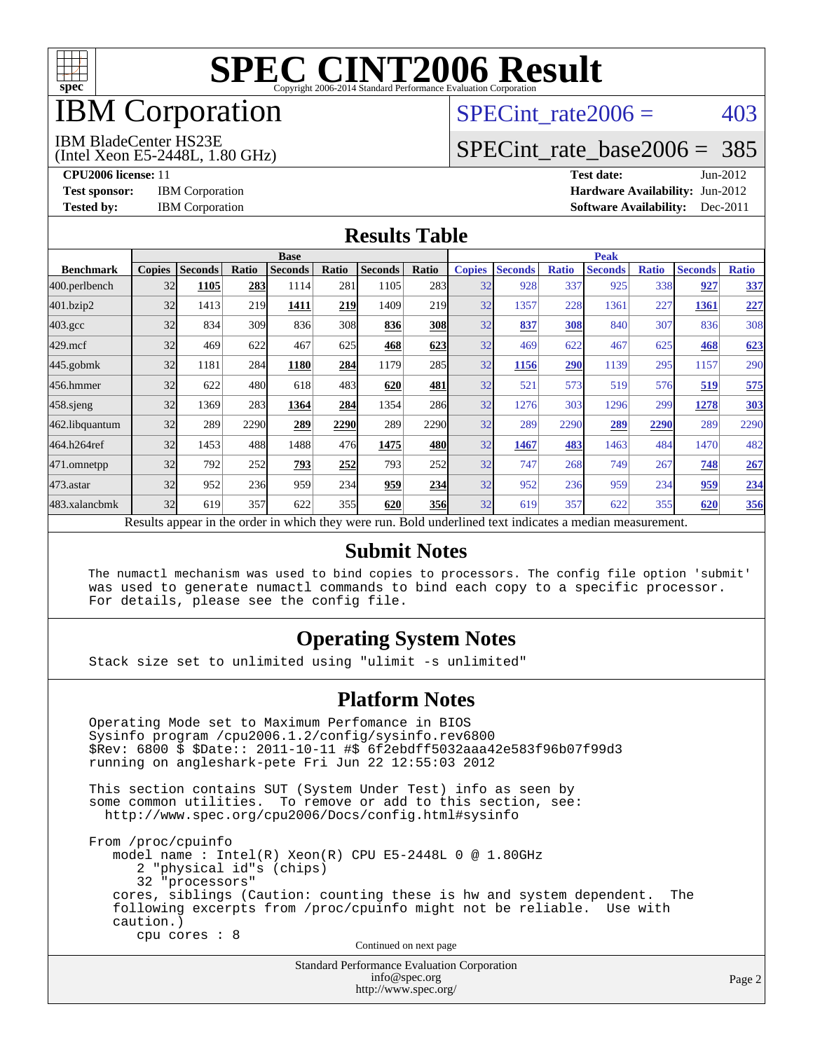

## IBM Corporation

## SPECint rate $2006 = 403$

#### IBM BladeCenter HS23E

(Intel Xeon E5-2448L, 1.80 GHz)

[SPECint\\_rate\\_base2006 =](http://www.spec.org/auto/cpu2006/Docs/result-fields.html#SPECintratebase2006) 385

**[CPU2006 license:](http://www.spec.org/auto/cpu2006/Docs/result-fields.html#CPU2006license)** 11 **[Test date:](http://www.spec.org/auto/cpu2006/Docs/result-fields.html#Testdate)** Jun-2012 **[Test sponsor:](http://www.spec.org/auto/cpu2006/Docs/result-fields.html#Testsponsor)** IBM Corporation **[Hardware Availability:](http://www.spec.org/auto/cpu2006/Docs/result-fields.html#HardwareAvailability)** Jun-2012 **[Tested by:](http://www.spec.org/auto/cpu2006/Docs/result-fields.html#Testedby)** IBM Corporation **[Software Availability:](http://www.spec.org/auto/cpu2006/Docs/result-fields.html#SoftwareAvailability)** Dec-2011

#### **[Results Table](http://www.spec.org/auto/cpu2006/Docs/result-fields.html#ResultsTable)**

|                    | <b>Base</b>   |                |              |                                                                                                          |       |                |            | <b>Peak</b>   |                |              |                |              |                |              |
|--------------------|---------------|----------------|--------------|----------------------------------------------------------------------------------------------------------|-------|----------------|------------|---------------|----------------|--------------|----------------|--------------|----------------|--------------|
| <b>Benchmark</b>   | <b>Copies</b> | <b>Seconds</b> | <b>Ratio</b> | <b>Seconds</b>                                                                                           | Ratio | <b>Seconds</b> | Ratio      | <b>Copies</b> | <b>Seconds</b> | <b>Ratio</b> | <b>Seconds</b> | <b>Ratio</b> | <b>Seconds</b> | <b>Ratio</b> |
| 400.perlbench      | 32            | 1105           | 283          | 1114                                                                                                     | 281   | 1105           | 283        | 32            | 928            | 337          | 925            | 338          | 927            | 337          |
| 401.bzip2          | 32            | 1413           | 219          | 1411                                                                                                     | 219   | 1409           | 219        | 32            | 1357           | 228          | 1361           | 227          | 1361           | 227          |
| $403.\mathrm{gcc}$ | 32            | 834            | 309          | 836                                                                                                      | 308   | 836            | 308        | 32            | 837            | 308          | 840            | 307          | 836            | 308          |
| $429$ .mcf         | 32            | 469            | 622          | 467                                                                                                      | 625   | 468            | 623        | 32            | 469            | 622          | 467            | 625          | 468            | 623          |
| $445$ .gobm $k$    | 32            | 1181           | 284          | 1180                                                                                                     | 284   | 1179           | 285        | 32            | 1156           | 290          | 1139           | 295          | 1157           | 290          |
| 456.hmmer          | 32            | 622            | 480          | 618                                                                                                      | 483   | 620            | 481        | 32            | 521            | 573          | 519            | 576          | 519            | 575          |
| $458$ .sjeng       | 32            | 1369           | 283          | 1364                                                                                                     | 284   | 1354           | 286        | 32            | 1276           | 303          | 1296           | 299          | 1278           | 303          |
| 462.libquantum     | 32            | 289            | 2290         | 289                                                                                                      | 2290  | 289            | 2290       | 32            | 289            | 2290         | 289            | 2290         | 289            | 2290         |
| 464.h264ref        | 32            | 1453           | 488          | 1488                                                                                                     | 476   | 1475           | 480        | 32            | 1467           | 483          | 1463           | 484          | 1470           | 482          |
| 471.omnetpp        | 32            | 792            | 252          | 793                                                                                                      | 252   | 793            | 252        | 32            | 747            | 268          | 749            | 267          | 748            | 267          |
| $473$ . astar      | 32            | 952            | 236          | 959                                                                                                      | 234   | 959            | 234        | 32            | 952            | 236          | 959            | 234          | 959            | 234          |
| 483.xalancbmk      | 32            | 619            | 357          | 622                                                                                                      | 355   | 620            | <b>356</b> | 32            | 619            | 357          | 622            | 355          | 620            | 356          |
|                    |               |                |              | Results appear in the order in which they were run. Bold underlined text indicates a median measurement. |       |                |            |               |                |              |                |              |                |              |

#### **[Submit Notes](http://www.spec.org/auto/cpu2006/Docs/result-fields.html#SubmitNotes)**

 The numactl mechanism was used to bind copies to processors. The config file option 'submit' was used to generate numactl commands to bind each copy to a specific processor. For details, please see the config file.

#### **[Operating System Notes](http://www.spec.org/auto/cpu2006/Docs/result-fields.html#OperatingSystemNotes)**

Stack size set to unlimited using "ulimit -s unlimited"

#### **[Platform Notes](http://www.spec.org/auto/cpu2006/Docs/result-fields.html#PlatformNotes)**

 Operating Mode set to Maximum Perfomance in BIOS Sysinfo program /cpu2006.1.2/config/sysinfo.rev6800 \$Rev: 6800 \$ \$Date:: 2011-10-11 #\$ 6f2ebdff5032aaa42e583f96b07f99d3 running on angleshark-pete Fri Jun 22 12:55:03 2012 This section contains SUT (System Under Test) info as seen by some common utilities. To remove or add to this section, see: <http://www.spec.org/cpu2006/Docs/config.html#sysinfo> From /proc/cpuinfo model name : Intel(R) Xeon(R) CPU E5-2448L 0 @ 1.80GHz 2 "physical id"s (chips) 32 "processors" cores, siblings (Caution: counting these is hw and system dependent. The following excerpts from /proc/cpuinfo might not be reliable. Use with caution.) cpu cores : 8 Continued on next page

Standard Performance Evaluation Corporation [info@spec.org](mailto:info@spec.org) <http://www.spec.org/>

Page 2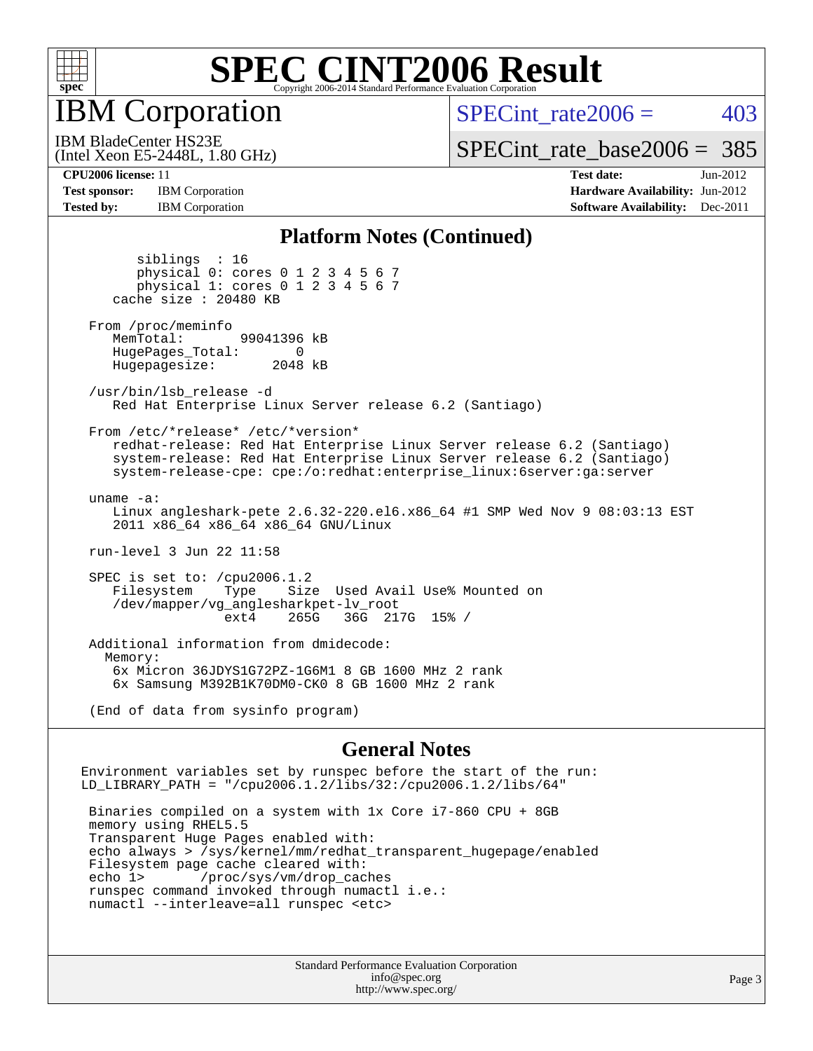

IBM Corporation

SPECint rate $2006 = 403$ 

(Intel Xeon E5-2448L, 1.80 GHz) IBM BladeCenter HS23E

[SPECint\\_rate\\_base2006 =](http://www.spec.org/auto/cpu2006/Docs/result-fields.html#SPECintratebase2006) 385

**[Test sponsor:](http://www.spec.org/auto/cpu2006/Docs/result-fields.html#Testsponsor)** IBM Corporation **[Hardware Availability:](http://www.spec.org/auto/cpu2006/Docs/result-fields.html#HardwareAvailability)** Jun-2012 **[Tested by:](http://www.spec.org/auto/cpu2006/Docs/result-fields.html#Testedby)** IBM Corporation **IBM** Corporation **[Software Availability:](http://www.spec.org/auto/cpu2006/Docs/result-fields.html#SoftwareAvailability)** Dec-2011

**[CPU2006 license:](http://www.spec.org/auto/cpu2006/Docs/result-fields.html#CPU2006license)** 11 **[Test date:](http://www.spec.org/auto/cpu2006/Docs/result-fields.html#Testdate)** Jun-2012

#### **[Platform Notes \(Continued\)](http://www.spec.org/auto/cpu2006/Docs/result-fields.html#PlatformNotes)**

 siblings : 16 physical 0: cores 0 1 2 3 4 5 6 7 physical 1: cores 0 1 2 3 4 5 6 7 cache size : 20480 KB From /proc/meminfo MemTotal: 99041396 kB HugePages\_Total: 0<br>Hugepagesize: 2048 kB Hugepagesize: /usr/bin/lsb\_release -d Red Hat Enterprise Linux Server release 6.2 (Santiago) From /etc/\*release\* /etc/\*version\* redhat-release: Red Hat Enterprise Linux Server release 6.2 (Santiago) system-release: Red Hat Enterprise Linux Server release 6.2 (Santiago) system-release-cpe: cpe:/o:redhat:enterprise\_linux:6server:ga:server uname -a: Linux angleshark-pete 2.6.32-220.el6.x86\_64 #1 SMP Wed Nov 9 08:03:13 EST 2011 x86\_64 x86\_64 x86\_64 GNU/Linux run-level 3 Jun 22 11:58 SPEC is set to: /cpu2006.1.2<br>Filesystem Type Size Type Size Used Avail Use% Mounted on /dev/mapper/vg\_anglesharkpet-lv\_root ext4 265G 36G 217G 15% / Additional information from dmidecode: Memory: 6x Micron 36JDYS1G72PZ-1G6M1 8 GB 1600 MHz 2 rank 6x Samsung M392B1K70DM0-CK0 8 GB 1600 MHz 2 rank

(End of data from sysinfo program)

#### **[General Notes](http://www.spec.org/auto/cpu2006/Docs/result-fields.html#GeneralNotes)**

Environment variables set by runspec before the start of the run: LD\_LIBRARY\_PATH = "/cpu2006.1.2/libs/32:/cpu2006.1.2/libs/64"

 Binaries compiled on a system with 1x Core i7-860 CPU + 8GB memory using RHEL5.5 Transparent Huge Pages enabled with: echo always > /sys/kernel/mm/redhat\_transparent\_hugepage/enabled Filesystem page cache cleared with: echo 1> /proc/sys/vm/drop\_caches runspec command invoked through numactl i.e.: numactl --interleave=all runspec <etc>

> Standard Performance Evaluation Corporation [info@spec.org](mailto:info@spec.org) <http://www.spec.org/>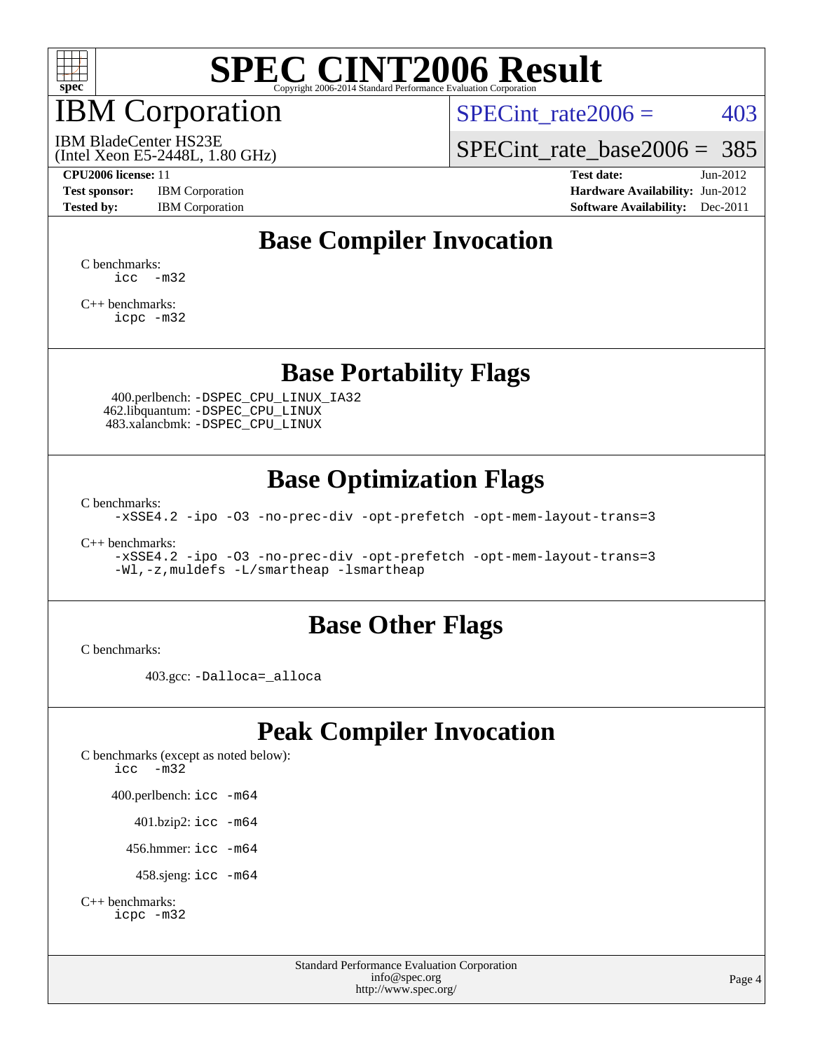

## IBM Corporation

SPECint rate $2006 = 403$ 

(Intel Xeon E5-2448L, 1.80 GHz) IBM BladeCenter HS23E

[SPECint\\_rate\\_base2006 =](http://www.spec.org/auto/cpu2006/Docs/result-fields.html#SPECintratebase2006) 385

**[Test sponsor:](http://www.spec.org/auto/cpu2006/Docs/result-fields.html#Testsponsor)** IBM Corporation **[Hardware Availability:](http://www.spec.org/auto/cpu2006/Docs/result-fields.html#HardwareAvailability)** Jun-2012

**[CPU2006 license:](http://www.spec.org/auto/cpu2006/Docs/result-fields.html#CPU2006license)** 11 **[Test date:](http://www.spec.org/auto/cpu2006/Docs/result-fields.html#Testdate)** Jun-2012 **[Tested by:](http://www.spec.org/auto/cpu2006/Docs/result-fields.html#Testedby)** IBM Corporation **[Software Availability:](http://www.spec.org/auto/cpu2006/Docs/result-fields.html#SoftwareAvailability)** Dec-2011

## **[Base Compiler Invocation](http://www.spec.org/auto/cpu2006/Docs/result-fields.html#BaseCompilerInvocation)**

[C benchmarks](http://www.spec.org/auto/cpu2006/Docs/result-fields.html#Cbenchmarks):  $\text{icc}$   $-\text{m32}$ 

[C++ benchmarks:](http://www.spec.org/auto/cpu2006/Docs/result-fields.html#CXXbenchmarks) [icpc -m32](http://www.spec.org/cpu2006/results/res2012q3/cpu2006-20120702-23350.flags.html#user_CXXbase_intel_icpc_4e5a5ef1a53fd332b3c49e69c3330699)

### **[Base Portability Flags](http://www.spec.org/auto/cpu2006/Docs/result-fields.html#BasePortabilityFlags)**

 400.perlbench: [-DSPEC\\_CPU\\_LINUX\\_IA32](http://www.spec.org/cpu2006/results/res2012q3/cpu2006-20120702-23350.flags.html#b400.perlbench_baseCPORTABILITY_DSPEC_CPU_LINUX_IA32) 462.libquantum: [-DSPEC\\_CPU\\_LINUX](http://www.spec.org/cpu2006/results/res2012q3/cpu2006-20120702-23350.flags.html#b462.libquantum_baseCPORTABILITY_DSPEC_CPU_LINUX) 483.xalancbmk: [-DSPEC\\_CPU\\_LINUX](http://www.spec.org/cpu2006/results/res2012q3/cpu2006-20120702-23350.flags.html#b483.xalancbmk_baseCXXPORTABILITY_DSPEC_CPU_LINUX)

### **[Base Optimization Flags](http://www.spec.org/auto/cpu2006/Docs/result-fields.html#BaseOptimizationFlags)**

[C benchmarks](http://www.spec.org/auto/cpu2006/Docs/result-fields.html#Cbenchmarks):

[-xSSE4.2](http://www.spec.org/cpu2006/results/res2012q3/cpu2006-20120702-23350.flags.html#user_CCbase_f-xSSE42_f91528193cf0b216347adb8b939d4107) [-ipo](http://www.spec.org/cpu2006/results/res2012q3/cpu2006-20120702-23350.flags.html#user_CCbase_f-ipo) [-O3](http://www.spec.org/cpu2006/results/res2012q3/cpu2006-20120702-23350.flags.html#user_CCbase_f-O3) [-no-prec-div](http://www.spec.org/cpu2006/results/res2012q3/cpu2006-20120702-23350.flags.html#user_CCbase_f-no-prec-div) [-opt-prefetch](http://www.spec.org/cpu2006/results/res2012q3/cpu2006-20120702-23350.flags.html#user_CCbase_f-opt-prefetch) [-opt-mem-layout-trans=3](http://www.spec.org/cpu2006/results/res2012q3/cpu2006-20120702-23350.flags.html#user_CCbase_f-opt-mem-layout-trans_a7b82ad4bd7abf52556d4961a2ae94d5)

[C++ benchmarks:](http://www.spec.org/auto/cpu2006/Docs/result-fields.html#CXXbenchmarks)

[-xSSE4.2](http://www.spec.org/cpu2006/results/res2012q3/cpu2006-20120702-23350.flags.html#user_CXXbase_f-xSSE42_f91528193cf0b216347adb8b939d4107) [-ipo](http://www.spec.org/cpu2006/results/res2012q3/cpu2006-20120702-23350.flags.html#user_CXXbase_f-ipo) [-O3](http://www.spec.org/cpu2006/results/res2012q3/cpu2006-20120702-23350.flags.html#user_CXXbase_f-O3) [-no-prec-div](http://www.spec.org/cpu2006/results/res2012q3/cpu2006-20120702-23350.flags.html#user_CXXbase_f-no-prec-div) [-opt-prefetch](http://www.spec.org/cpu2006/results/res2012q3/cpu2006-20120702-23350.flags.html#user_CXXbase_f-opt-prefetch) [-opt-mem-layout-trans=3](http://www.spec.org/cpu2006/results/res2012q3/cpu2006-20120702-23350.flags.html#user_CXXbase_f-opt-mem-layout-trans_a7b82ad4bd7abf52556d4961a2ae94d5) [-Wl,-z,muldefs](http://www.spec.org/cpu2006/results/res2012q3/cpu2006-20120702-23350.flags.html#user_CXXbase_link_force_multiple1_74079c344b956b9658436fd1b6dd3a8a) [-L/smartheap -lsmartheap](http://www.spec.org/cpu2006/results/res2012q3/cpu2006-20120702-23350.flags.html#user_CXXbase_SmartHeap_7c9e394a5779e1a7fec7c221e123830c)

### **[Base Other Flags](http://www.spec.org/auto/cpu2006/Docs/result-fields.html#BaseOtherFlags)**

[C benchmarks](http://www.spec.org/auto/cpu2006/Docs/result-fields.html#Cbenchmarks):

403.gcc: [-Dalloca=\\_alloca](http://www.spec.org/cpu2006/results/res2012q3/cpu2006-20120702-23350.flags.html#b403.gcc_baseEXTRA_CFLAGS_Dalloca_be3056838c12de2578596ca5467af7f3)

## **[Peak Compiler Invocation](http://www.spec.org/auto/cpu2006/Docs/result-fields.html#PeakCompilerInvocation)**

[C benchmarks \(except as noted below\)](http://www.spec.org/auto/cpu2006/Docs/result-fields.html#Cbenchmarksexceptasnotedbelow): [icc -m32](http://www.spec.org/cpu2006/results/res2012q3/cpu2006-20120702-23350.flags.html#user_CCpeak_intel_icc_5ff4a39e364c98233615fdd38438c6f2) 400.perlbench: [icc -m64](http://www.spec.org/cpu2006/results/res2012q3/cpu2006-20120702-23350.flags.html#user_peakCCLD400_perlbench_intel_icc_64bit_bda6cc9af1fdbb0edc3795bac97ada53) 401.bzip2: [icc -m64](http://www.spec.org/cpu2006/results/res2012q3/cpu2006-20120702-23350.flags.html#user_peakCCLD401_bzip2_intel_icc_64bit_bda6cc9af1fdbb0edc3795bac97ada53)

456.hmmer: [icc -m64](http://www.spec.org/cpu2006/results/res2012q3/cpu2006-20120702-23350.flags.html#user_peakCCLD456_hmmer_intel_icc_64bit_bda6cc9af1fdbb0edc3795bac97ada53)

458.sjeng: [icc -m64](http://www.spec.org/cpu2006/results/res2012q3/cpu2006-20120702-23350.flags.html#user_peakCCLD458_sjeng_intel_icc_64bit_bda6cc9af1fdbb0edc3795bac97ada53)

```
C++ benchmarks: 
icpc -m32
```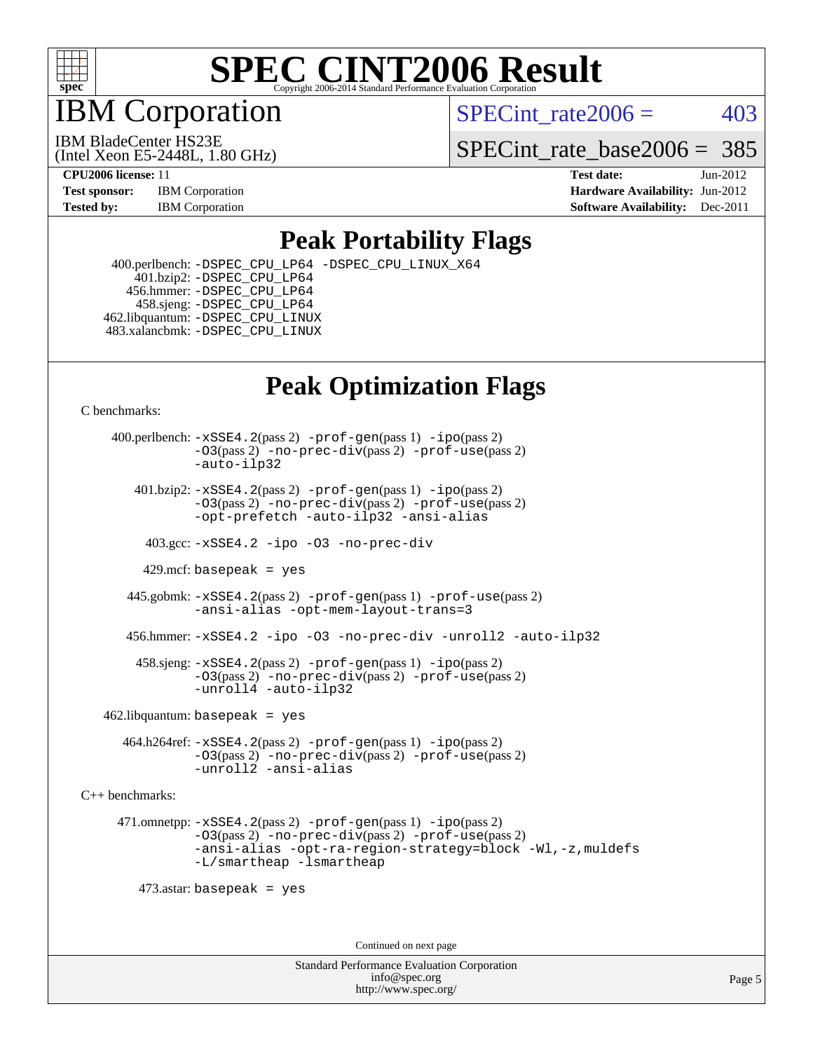

IBM Corporation

SPECint rate $2006 = 403$ 

(Intel Xeon E5-2448L, 1.80 GHz) IBM BladeCenter HS23E

SPECint rate base  $2006 = 385$ 

**[CPU2006 license:](http://www.spec.org/auto/cpu2006/Docs/result-fields.html#CPU2006license)** 11 **[Test date:](http://www.spec.org/auto/cpu2006/Docs/result-fields.html#Testdate)** Jun-2012 **[Test sponsor:](http://www.spec.org/auto/cpu2006/Docs/result-fields.html#Testsponsor)** IBM Corporation **[Hardware Availability:](http://www.spec.org/auto/cpu2006/Docs/result-fields.html#HardwareAvailability)** Jun-2012 **[Tested by:](http://www.spec.org/auto/cpu2006/Docs/result-fields.html#Testedby)** IBM Corporation **IBM** Corporation **[Software Availability:](http://www.spec.org/auto/cpu2006/Docs/result-fields.html#SoftwareAvailability)** Dec-2011

### **[Peak Portability Flags](http://www.spec.org/auto/cpu2006/Docs/result-fields.html#PeakPortabilityFlags)**

 400.perlbench: [-DSPEC\\_CPU\\_LP64](http://www.spec.org/cpu2006/results/res2012q3/cpu2006-20120702-23350.flags.html#b400.perlbench_peakCPORTABILITY_DSPEC_CPU_LP64) [-DSPEC\\_CPU\\_LINUX\\_X64](http://www.spec.org/cpu2006/results/res2012q3/cpu2006-20120702-23350.flags.html#b400.perlbench_peakCPORTABILITY_DSPEC_CPU_LINUX_X64)  $401.bzip2: -DSPEC_CPULP64$  456.hmmer: [-DSPEC\\_CPU\\_LP64](http://www.spec.org/cpu2006/results/res2012q3/cpu2006-20120702-23350.flags.html#suite_peakCPORTABILITY456_hmmer_DSPEC_CPU_LP64) 458.sjeng: [-DSPEC\\_CPU\\_LP64](http://www.spec.org/cpu2006/results/res2012q3/cpu2006-20120702-23350.flags.html#suite_peakCPORTABILITY458_sjeng_DSPEC_CPU_LP64) 462.libquantum: [-DSPEC\\_CPU\\_LINUX](http://www.spec.org/cpu2006/results/res2012q3/cpu2006-20120702-23350.flags.html#b462.libquantum_peakCPORTABILITY_DSPEC_CPU_LINUX) 483.xalancbmk: [-DSPEC\\_CPU\\_LINUX](http://www.spec.org/cpu2006/results/res2012q3/cpu2006-20120702-23350.flags.html#b483.xalancbmk_peakCXXPORTABILITY_DSPEC_CPU_LINUX)

## **[Peak Optimization Flags](http://www.spec.org/auto/cpu2006/Docs/result-fields.html#PeakOptimizationFlags)**

[C benchmarks](http://www.spec.org/auto/cpu2006/Docs/result-fields.html#Cbenchmarks):

 400.perlbench: [-xSSE4.2](http://www.spec.org/cpu2006/results/res2012q3/cpu2006-20120702-23350.flags.html#user_peakPASS2_CFLAGSPASS2_LDCFLAGS400_perlbench_f-xSSE42_f91528193cf0b216347adb8b939d4107)(pass 2) [-prof-gen](http://www.spec.org/cpu2006/results/res2012q3/cpu2006-20120702-23350.flags.html#user_peakPASS1_CFLAGSPASS1_LDCFLAGS400_perlbench_prof_gen_e43856698f6ca7b7e442dfd80e94a8fc)(pass 1) [-ipo](http://www.spec.org/cpu2006/results/res2012q3/cpu2006-20120702-23350.flags.html#user_peakPASS2_CFLAGSPASS2_LDCFLAGS400_perlbench_f-ipo)(pass 2) [-O3](http://www.spec.org/cpu2006/results/res2012q3/cpu2006-20120702-23350.flags.html#user_peakPASS2_CFLAGSPASS2_LDCFLAGS400_perlbench_f-O3)(pass 2) [-no-prec-div](http://www.spec.org/cpu2006/results/res2012q3/cpu2006-20120702-23350.flags.html#user_peakPASS2_CFLAGSPASS2_LDCFLAGS400_perlbench_f-no-prec-div)(pass 2) [-prof-use](http://www.spec.org/cpu2006/results/res2012q3/cpu2006-20120702-23350.flags.html#user_peakPASS2_CFLAGSPASS2_LDCFLAGS400_perlbench_prof_use_bccf7792157ff70d64e32fe3e1250b55)(pass 2) [-auto-ilp32](http://www.spec.org/cpu2006/results/res2012q3/cpu2006-20120702-23350.flags.html#user_peakCOPTIMIZE400_perlbench_f-auto-ilp32)  $401.bzip2: -xSSE4.2(pass 2) -prof-qen(pass 1) -ipo(pass 2)$  $401.bzip2: -xSSE4.2(pass 2) -prof-qen(pass 1) -ipo(pass 2)$  $401.bzip2: -xSSE4.2(pass 2) -prof-qen(pass 1) -ipo(pass 2)$  $401.bzip2: -xSSE4.2(pass 2) -prof-qen(pass 1) -ipo(pass 2)$  $401.bzip2: -xSSE4.2(pass 2) -prof-qen(pass 1) -ipo(pass 2)$ [-O3](http://www.spec.org/cpu2006/results/res2012q3/cpu2006-20120702-23350.flags.html#user_peakPASS2_CFLAGSPASS2_LDCFLAGS401_bzip2_f-O3)(pass 2) [-no-prec-div](http://www.spec.org/cpu2006/results/res2012q3/cpu2006-20120702-23350.flags.html#user_peakPASS2_CFLAGSPASS2_LDCFLAGS401_bzip2_f-no-prec-div)(pass 2) [-prof-use](http://www.spec.org/cpu2006/results/res2012q3/cpu2006-20120702-23350.flags.html#user_peakPASS2_CFLAGSPASS2_LDCFLAGS401_bzip2_prof_use_bccf7792157ff70d64e32fe3e1250b55)(pass 2) [-opt-prefetch](http://www.spec.org/cpu2006/results/res2012q3/cpu2006-20120702-23350.flags.html#user_peakCOPTIMIZE401_bzip2_f-opt-prefetch) [-auto-ilp32](http://www.spec.org/cpu2006/results/res2012q3/cpu2006-20120702-23350.flags.html#user_peakCOPTIMIZE401_bzip2_f-auto-ilp32) [-ansi-alias](http://www.spec.org/cpu2006/results/res2012q3/cpu2006-20120702-23350.flags.html#user_peakCOPTIMIZE401_bzip2_f-ansi-alias) 403.gcc: [-xSSE4.2](http://www.spec.org/cpu2006/results/res2012q3/cpu2006-20120702-23350.flags.html#user_peakCOPTIMIZE403_gcc_f-xSSE42_f91528193cf0b216347adb8b939d4107) [-ipo](http://www.spec.org/cpu2006/results/res2012q3/cpu2006-20120702-23350.flags.html#user_peakCOPTIMIZE403_gcc_f-ipo) [-O3](http://www.spec.org/cpu2006/results/res2012q3/cpu2006-20120702-23350.flags.html#user_peakCOPTIMIZE403_gcc_f-O3) [-no-prec-div](http://www.spec.org/cpu2006/results/res2012q3/cpu2006-20120702-23350.flags.html#user_peakCOPTIMIZE403_gcc_f-no-prec-div) 429.mcf: basepeak = yes 445.gobmk: [-xSSE4.2](http://www.spec.org/cpu2006/results/res2012q3/cpu2006-20120702-23350.flags.html#user_peakPASS2_CFLAGSPASS2_LDCFLAGS445_gobmk_f-xSSE42_f91528193cf0b216347adb8b939d4107)(pass 2) [-prof-gen](http://www.spec.org/cpu2006/results/res2012q3/cpu2006-20120702-23350.flags.html#user_peakPASS1_CFLAGSPASS1_LDCFLAGS445_gobmk_prof_gen_e43856698f6ca7b7e442dfd80e94a8fc)(pass 1) [-prof-use](http://www.spec.org/cpu2006/results/res2012q3/cpu2006-20120702-23350.flags.html#user_peakPASS2_CFLAGSPASS2_LDCFLAGS445_gobmk_prof_use_bccf7792157ff70d64e32fe3e1250b55)(pass 2) [-ansi-alias](http://www.spec.org/cpu2006/results/res2012q3/cpu2006-20120702-23350.flags.html#user_peakCOPTIMIZE445_gobmk_f-ansi-alias) [-opt-mem-layout-trans=3](http://www.spec.org/cpu2006/results/res2012q3/cpu2006-20120702-23350.flags.html#user_peakCOPTIMIZE445_gobmk_f-opt-mem-layout-trans_a7b82ad4bd7abf52556d4961a2ae94d5) 456.hmmer: [-xSSE4.2](http://www.spec.org/cpu2006/results/res2012q3/cpu2006-20120702-23350.flags.html#user_peakCOPTIMIZE456_hmmer_f-xSSE42_f91528193cf0b216347adb8b939d4107) [-ipo](http://www.spec.org/cpu2006/results/res2012q3/cpu2006-20120702-23350.flags.html#user_peakCOPTIMIZE456_hmmer_f-ipo) [-O3](http://www.spec.org/cpu2006/results/res2012q3/cpu2006-20120702-23350.flags.html#user_peakCOPTIMIZE456_hmmer_f-O3) [-no-prec-div](http://www.spec.org/cpu2006/results/res2012q3/cpu2006-20120702-23350.flags.html#user_peakCOPTIMIZE456_hmmer_f-no-prec-div) [-unroll2](http://www.spec.org/cpu2006/results/res2012q3/cpu2006-20120702-23350.flags.html#user_peakCOPTIMIZE456_hmmer_f-unroll_784dae83bebfb236979b41d2422d7ec2) [-auto-ilp32](http://www.spec.org/cpu2006/results/res2012q3/cpu2006-20120702-23350.flags.html#user_peakCOPTIMIZE456_hmmer_f-auto-ilp32) 458.sjeng: [-xSSE4.2](http://www.spec.org/cpu2006/results/res2012q3/cpu2006-20120702-23350.flags.html#user_peakPASS2_CFLAGSPASS2_LDCFLAGS458_sjeng_f-xSSE42_f91528193cf0b216347adb8b939d4107)(pass 2) [-prof-gen](http://www.spec.org/cpu2006/results/res2012q3/cpu2006-20120702-23350.flags.html#user_peakPASS1_CFLAGSPASS1_LDCFLAGS458_sjeng_prof_gen_e43856698f6ca7b7e442dfd80e94a8fc)(pass 1) [-ipo](http://www.spec.org/cpu2006/results/res2012q3/cpu2006-20120702-23350.flags.html#user_peakPASS2_CFLAGSPASS2_LDCFLAGS458_sjeng_f-ipo)(pass 2) [-O3](http://www.spec.org/cpu2006/results/res2012q3/cpu2006-20120702-23350.flags.html#user_peakPASS2_CFLAGSPASS2_LDCFLAGS458_sjeng_f-O3)(pass 2) [-no-prec-div](http://www.spec.org/cpu2006/results/res2012q3/cpu2006-20120702-23350.flags.html#user_peakPASS2_CFLAGSPASS2_LDCFLAGS458_sjeng_f-no-prec-div)(pass 2) [-prof-use](http://www.spec.org/cpu2006/results/res2012q3/cpu2006-20120702-23350.flags.html#user_peakPASS2_CFLAGSPASS2_LDCFLAGS458_sjeng_prof_use_bccf7792157ff70d64e32fe3e1250b55)(pass 2) [-unroll4](http://www.spec.org/cpu2006/results/res2012q3/cpu2006-20120702-23350.flags.html#user_peakCOPTIMIZE458_sjeng_f-unroll_4e5e4ed65b7fd20bdcd365bec371b81f) [-auto-ilp32](http://www.spec.org/cpu2006/results/res2012q3/cpu2006-20120702-23350.flags.html#user_peakCOPTIMIZE458_sjeng_f-auto-ilp32)  $462$ .libquantum: basepeak = yes 464.h264ref: [-xSSE4.2](http://www.spec.org/cpu2006/results/res2012q3/cpu2006-20120702-23350.flags.html#user_peakPASS2_CFLAGSPASS2_LDCFLAGS464_h264ref_f-xSSE42_f91528193cf0b216347adb8b939d4107)(pass 2) [-prof-gen](http://www.spec.org/cpu2006/results/res2012q3/cpu2006-20120702-23350.flags.html#user_peakPASS1_CFLAGSPASS1_LDCFLAGS464_h264ref_prof_gen_e43856698f6ca7b7e442dfd80e94a8fc)(pass 1) [-ipo](http://www.spec.org/cpu2006/results/res2012q3/cpu2006-20120702-23350.flags.html#user_peakPASS2_CFLAGSPASS2_LDCFLAGS464_h264ref_f-ipo)(pass 2) [-O3](http://www.spec.org/cpu2006/results/res2012q3/cpu2006-20120702-23350.flags.html#user_peakPASS2_CFLAGSPASS2_LDCFLAGS464_h264ref_f-O3)(pass 2) [-no-prec-div](http://www.spec.org/cpu2006/results/res2012q3/cpu2006-20120702-23350.flags.html#user_peakPASS2_CFLAGSPASS2_LDCFLAGS464_h264ref_f-no-prec-div)(pass 2) [-prof-use](http://www.spec.org/cpu2006/results/res2012q3/cpu2006-20120702-23350.flags.html#user_peakPASS2_CFLAGSPASS2_LDCFLAGS464_h264ref_prof_use_bccf7792157ff70d64e32fe3e1250b55)(pass 2) [-unroll2](http://www.spec.org/cpu2006/results/res2012q3/cpu2006-20120702-23350.flags.html#user_peakCOPTIMIZE464_h264ref_f-unroll_784dae83bebfb236979b41d2422d7ec2) [-ansi-alias](http://www.spec.org/cpu2006/results/res2012q3/cpu2006-20120702-23350.flags.html#user_peakCOPTIMIZE464_h264ref_f-ansi-alias) [C++ benchmarks:](http://www.spec.org/auto/cpu2006/Docs/result-fields.html#CXXbenchmarks) 471.omnetpp: [-xSSE4.2](http://www.spec.org/cpu2006/results/res2012q3/cpu2006-20120702-23350.flags.html#user_peakPASS2_CXXFLAGSPASS2_LDCXXFLAGS471_omnetpp_f-xSSE42_f91528193cf0b216347adb8b939d4107)(pass 2) [-prof-gen](http://www.spec.org/cpu2006/results/res2012q3/cpu2006-20120702-23350.flags.html#user_peakPASS1_CXXFLAGSPASS1_LDCXXFLAGS471_omnetpp_prof_gen_e43856698f6ca7b7e442dfd80e94a8fc)(pass 1) [-ipo](http://www.spec.org/cpu2006/results/res2012q3/cpu2006-20120702-23350.flags.html#user_peakPASS2_CXXFLAGSPASS2_LDCXXFLAGS471_omnetpp_f-ipo)(pass 2) [-O3](http://www.spec.org/cpu2006/results/res2012q3/cpu2006-20120702-23350.flags.html#user_peakPASS2_CXXFLAGSPASS2_LDCXXFLAGS471_omnetpp_f-O3)(pass 2) [-no-prec-div](http://www.spec.org/cpu2006/results/res2012q3/cpu2006-20120702-23350.flags.html#user_peakPASS2_CXXFLAGSPASS2_LDCXXFLAGS471_omnetpp_f-no-prec-div)(pass 2) [-prof-use](http://www.spec.org/cpu2006/results/res2012q3/cpu2006-20120702-23350.flags.html#user_peakPASS2_CXXFLAGSPASS2_LDCXXFLAGS471_omnetpp_prof_use_bccf7792157ff70d64e32fe3e1250b55)(pass 2) [-ansi-alias](http://www.spec.org/cpu2006/results/res2012q3/cpu2006-20120702-23350.flags.html#user_peakCXXOPTIMIZE471_omnetpp_f-ansi-alias) [-opt-ra-region-strategy=block](http://www.spec.org/cpu2006/results/res2012q3/cpu2006-20120702-23350.flags.html#user_peakCXXOPTIMIZE471_omnetpp_f-opt-ra-region-strategy_a0a37c372d03933b2a18d4af463c1f69) [-Wl,-z,muldefs](http://www.spec.org/cpu2006/results/res2012q3/cpu2006-20120702-23350.flags.html#user_peakEXTRA_LDFLAGS471_omnetpp_link_force_multiple1_74079c344b956b9658436fd1b6dd3a8a) [-L/smartheap -lsmartheap](http://www.spec.org/cpu2006/results/res2012q3/cpu2006-20120702-23350.flags.html#user_peakEXTRA_LIBS471_omnetpp_SmartHeap_7c9e394a5779e1a7fec7c221e123830c) 473.astar: basepeak = yes

Continued on next page

Standard Performance Evaluation Corporation [info@spec.org](mailto:info@spec.org) <http://www.spec.org/>